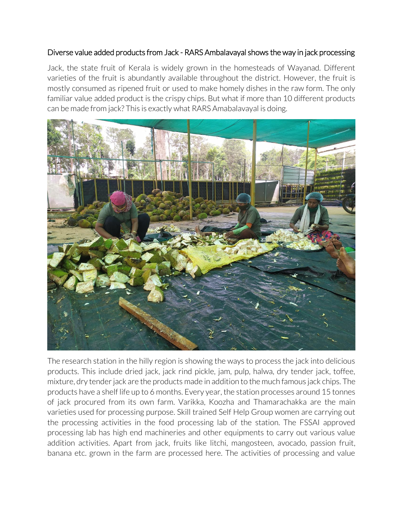## Diverse value added products from Jack - RARS Ambalavayal shows the way in jack processing

Jack, the state fruit of Kerala is widely grown in the homesteads of Wayanad. Different varieties of the fruit is abundantly available throughout the district. However, the fruit is mostly consumed as ripened fruit or used to make homely dishes in the raw form. The only familiar value added product is the crispy chips. But what if more than 10 different products can be made from jack? This is exactly what RARS Amabalavayal is doing.



The research station in the hilly region is showing the ways to process the jack into delicious products. This include dried jack, jack rind pickle, jam, pulp, halwa, dry tender jack, toffee, mixture, dry tender jack are the products made in addition to the much famous jack chips. The products have a shelf life up to 6 months. Every year, the station processes around 15 tonnes of jack procured from its own farm. Varikka, Koozha and Thamarachakka are the main varieties used for processing purpose. Skill trained Self Help Group women are carrying out the processing activities in the food processing lab of the station. The FSSAI approved processing lab has high end machineries and other equipments to carry out various value addition activities. Apart from jack, fruits like litchi, mangosteen, avocado, passion fruit, banana etc. grown in the farm are processed here. The activities of processing and value